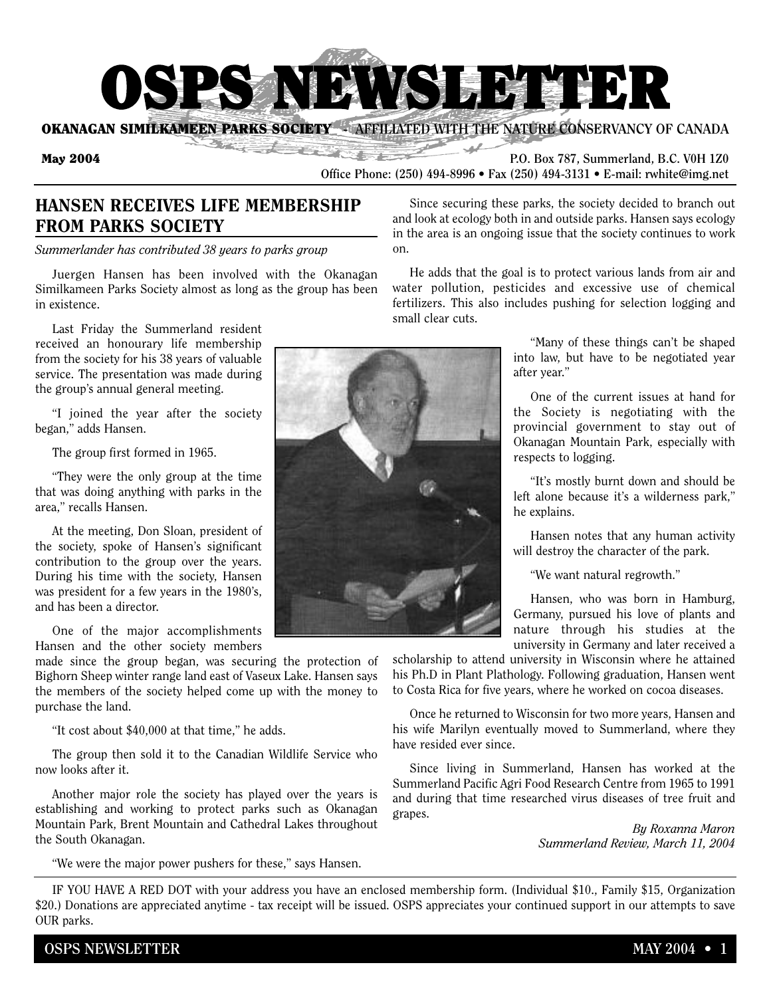

**OKANAGAN SIMILKAMEEN PARKS SOCIETY • AFFILIATED WITH THE NATURE CONSERVANCY OF CANADA** 

**May 2004 P.O.** Box 787, Summerland, B.C. V0H 1Z0 **Office Phone: (250) 494-8996 • Fax (250) 494-3131 • E-mail: rwhite@img.net**

## **HANSEN RECEIVES LIFE MEMBERSHIP FROM PARKS SOCIETY**

*Summerlander has contributed 38 years to parks group*

Juergen Hansen has been involved with the Okanagan Similkameen Parks Society almost as long as the group has been in existence.

Last Friday the Summerland resident received an honourary life membership from the society for his 38 years of valuable service. The presentation was made during the group's annual general meeting.

"I joined the year after the society began," adds Hansen.

The group first formed in 1965.

"They were the only group at the time that was doing anything with parks in the area," recalls Hansen.

At the meeting, Don Sloan, president of the society, spoke of Hansen's significant contribution to the group over the years. During his time with the society, Hansen was president for a few years in the 1980's, and has been a director.

One of the major accomplishments Hansen and the other society members

made since the group began, was securing the protection of Bighorn Sheep winter range land east of Vaseux Lake. Hansen says the members of the society helped come up with the money to purchase the land.

"It cost about \$40,000 at that time," he adds.

The group then sold it to the Canadian Wildlife Service who now looks after it.

Another major role the society has played over the years is establishing and working to protect parks such as Okanagan Mountain Park, Brent Mountain and Cathedral Lakes throughout the South Okanagan.

"We were the major power pushers for these," says Hansen.

Since securing these parks, the society decided to branch out and look at ecology both in and outside parks. Hansen says ecology in the area is an ongoing issue that the society continues to work on.

He adds that the goal is to protect various lands from air and water pollution, pesticides and excessive use of chemical fertilizers. This also includes pushing for selection logging and small clear cuts.

> "Many of these things can't be shaped into law, but have to be negotiated year after year."

> One of the current issues at hand for the Society is negotiating with the provincial government to stay out of Okanagan Mountain Park, especially with respects to logging.

> "It's mostly burnt down and should be left alone because it's a wilderness park," he explains.

> Hansen notes that any human activity will destroy the character of the park.

"We want natural regrowth."

Hansen, who was born in Hamburg, Germany, pursued his love of plants and nature through his studies at the university in Germany and later received a

scholarship to attend university in Wisconsin where he attained his Ph.D in Plant Plathology. Following graduation, Hansen went to Costa Rica for five years, where he worked on cocoa diseases.

Once he returned to Wisconsin for two more years, Hansen and his wife Marilyn eventually moved to Summerland, where they have resided ever since.

Since living in Summerland, Hansen has worked at the Summerland Pacific Agri Food Research Centre from 1965 to 1991 and during that time researched virus diseases of tree fruit and grapes.

> *By Roxanna Maron Summerland Review, March 11, 2004*

IF YOU HAVE A RED DOT with your address you have an enclosed membership form. (Individual \$10., Family \$15, Organization \$20.) Donations are appreciated anytime - tax receipt will be issued. OSPS appreciates your continued support in our attempts to save OUR parks.

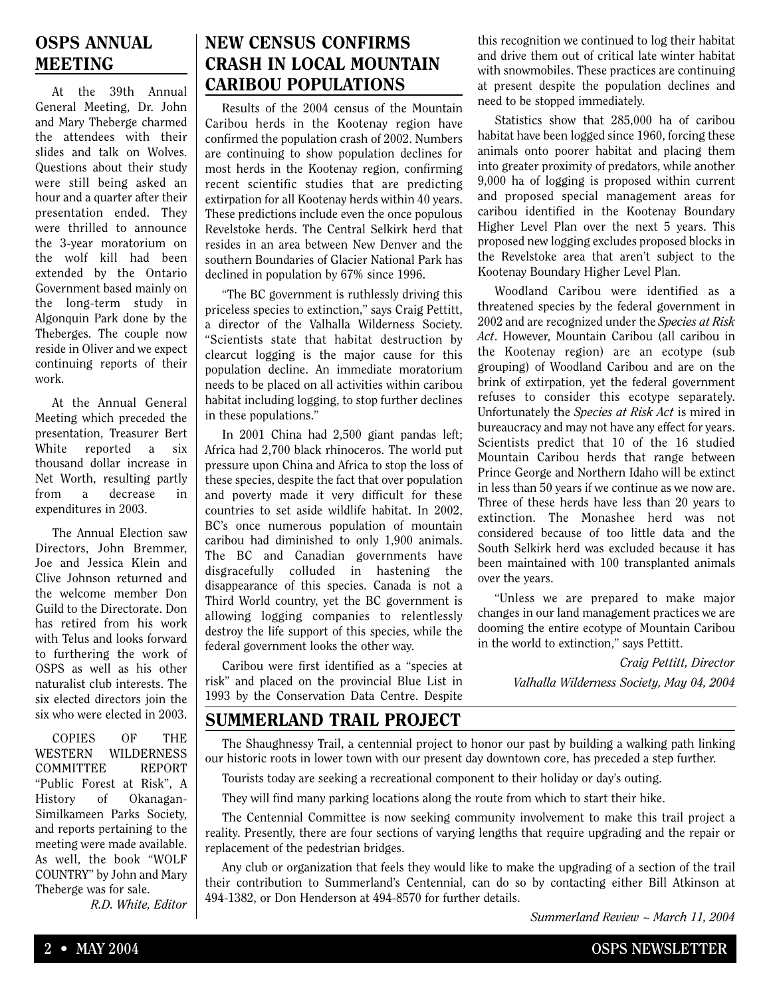### **OSPS ANNUAL MEETING**

At the 39th Annual General Meeting, Dr. John and Mary Theberge charmed the attendees with their slides and talk on Wolves. Questions about their study were still being asked an hour and a quarter after their presentation ended. They were thrilled to announce the 3-year moratorium on the wolf kill had been extended by the Ontario Government based mainly on the long-term study in Algonquin Park done by the Theberges. The couple now reside in Oliver and we expect continuing reports of their work.

At the Annual General Meeting which preceded the presentation, Treasurer Bert White reported a six thousand dollar increase in Net Worth, resulting partly from a decrease in expenditures in 2003.

The Annual Election saw Directors, John Bremmer, Joe and Jessica Klein and Clive Johnson returned and the welcome member Don Guild to the Directorate. Don has retired from his work with Telus and looks forward to furthering the work of OSPS as well as his other naturalist club interests. The six elected directors join the six who were elected in 2003.

COPIES OF THE WESTERN WILDERNESS COMMITTEE REPORT "Public Forest at Risk", A History of Okanagan-Similkameen Parks Society, and reports pertaining to the meeting were made available. As well, the book "WOLF COUNTRY" by John and Mary Theberge was for sale.

*R.D. White, Editor*

## **NEW CENSUS CONFIRMS CRASH IN LOCAL MOUNTAIN CARIBOU POPULATIONS**

Results of the 2004 census of the Mountain Caribou herds in the Kootenay region have confirmed the population crash of 2002. Numbers are continuing to show population declines for most herds in the Kootenay region, confirming recent scientific studies that are predicting extirpation for all Kootenay herds within 40 years. These predictions include even the once populous Revelstoke herds. The Central Selkirk herd that resides in an area between New Denver and the southern Boundaries of Glacier National Park has declined in population by 67% since 1996.

"The BC government is ruthlessly driving this priceless species to extinction," says Craig Pettitt, a director of the Valhalla Wilderness Society. "Scientists state that habitat destruction by clearcut logging is the major cause for this population decline. An immediate moratorium needs to be placed on all activities within caribou habitat including logging, to stop further declines in these populations."

In 2001 China had 2,500 giant pandas left; Africa had 2,700 black rhinoceros. The world put pressure upon China and Africa to stop the loss of these species, despite the fact that over population and poverty made it very difficult for these countries to set aside wildlife habitat. In 2002, BC's once numerous population of mountain caribou had diminished to only 1,900 animals. The BC and Canadian governments have disgracefully colluded in hastening the disappearance of this species. Canada is not a Third World country, yet the BC government is allowing logging companies to relentlessly destroy the life support of this species, while the federal government looks the other way.

Caribou were first identified as a "species at risk" and placed on the provincial Blue List in 1993 by the Conservation Data Centre. Despite this recognition we continued to log their habitat and drive them out of critical late winter habitat with snowmobiles. These practices are continuing at present despite the population declines and need to be stopped immediately.

Statistics show that 285,000 ha of caribou habitat have been logged since 1960, forcing these animals onto poorer habitat and placing them into greater proximity of predators, while another 9,000 ha of logging is proposed within current and proposed special management areas for caribou identified in the Kootenay Boundary Higher Level Plan over the next 5 years. This proposed new logging excludes proposed blocks in the Revelstoke area that aren't subject to the Kootenay Boundary Higher Level Plan.

Woodland Caribou were identified as a threatened species by the federal government in 2002 and are recognized under the *Species at Risk Act*. However, Mountain Caribou (all caribou in the Kootenay region) are an ecotype (sub grouping) of Woodland Caribou and are on the brink of extirpation, yet the federal government refuses to consider this ecotype separately. Unfortunately the *Species at Risk Act* is mired in bureaucracy and may not have any effect for years. Scientists predict that 10 of the 16 studied Mountain Caribou herds that range between Prince George and Northern Idaho will be extinct in less than 50 years if we continue as we now are. Three of these herds have less than 20 years to extinction. The Monashee herd was not considered because of too little data and the South Selkirk herd was excluded because it has been maintained with 100 transplanted animals over the years.

"Unless we are prepared to make major changes in our land management practices we are dooming the entire ecotype of Mountain Caribou in the world to extinction," says Pettitt.

> *Craig Pettitt, Director Valhalla Wilderness Society, May 04, 2004*

#### **SUMMERLAND TRAIL PROJECT**

The Shaughnessy Trail, a centennial project to honor our past by building a walking path linking our historic roots in lower town with our present day downtown core, has preceded a step further.

Tourists today are seeking a recreational component to their holiday or day's outing.

They will find many parking locations along the route from which to start their hike.

The Centennial Committee is now seeking community involvement to make this trail project a reality. Presently, there are four sections of varying lengths that require upgrading and the repair or replacement of the pedestrian bridges.

Any club or organization that feels they would like to make the upgrading of a section of the trail their contribution to Summerland's Centennial, can do so by contacting either Bill Atkinson at 494-1382, or Don Henderson at 494-8570 for further details.

*Summerland Review ~ March 11, 2004*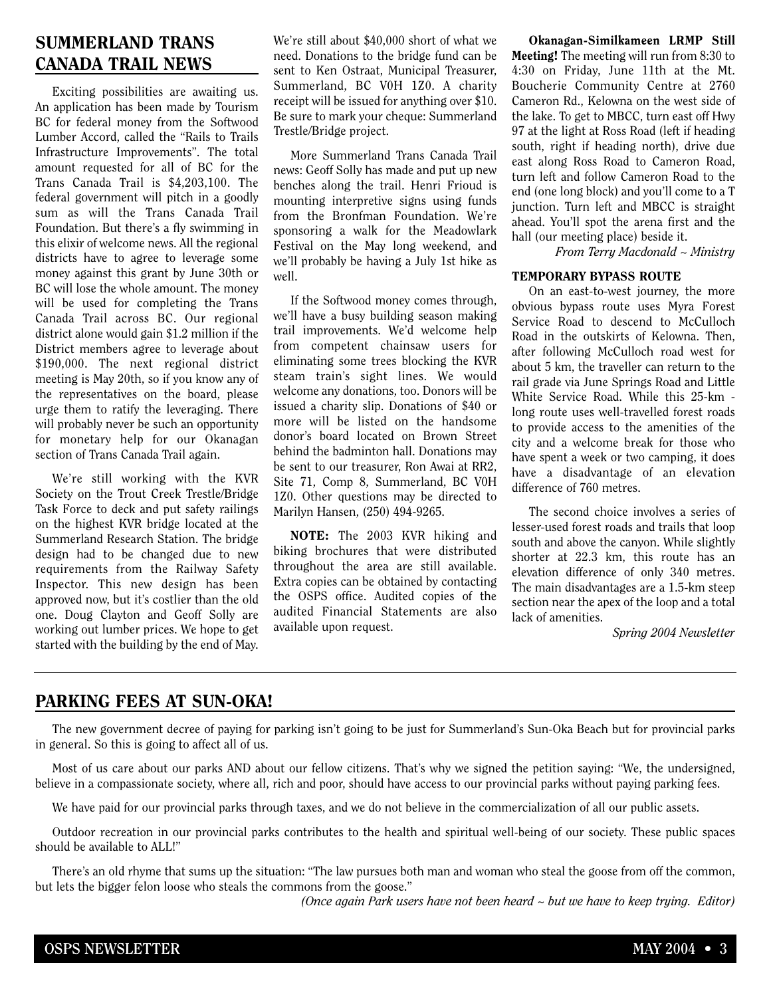# **SUMMERLAND TRANS CANADA TRAIL NEWS**

Exciting possibilities are awaiting us. An application has been made by Tourism BC for federal money from the Softwood Lumber Accord, called the "Rails to Trails Infrastructure Improvements". The total amount requested for all of BC for the Trans Canada Trail is \$4,203,100. The federal government will pitch in a goodly sum as will the Trans Canada Trail Foundation. But there's a fly swimming in this elixir of welcome news. All the regional districts have to agree to leverage some money against this grant by June 30th or BC will lose the whole amount. The money will be used for completing the Trans Canada Trail across BC. Our regional district alone would gain \$1.2 million if the District members agree to leverage about \$190,000. The next regional district meeting is May 20th, so if you know any of the representatives on the board, please urge them to ratify the leveraging. There will probably never be such an opportunity for monetary help for our Okanagan section of Trans Canada Trail again.

We're still working with the KVR Society on the Trout Creek Trestle/Bridge Task Force to deck and put safety railings on the highest KVR bridge located at the Summerland Research Station. The bridge design had to be changed due to new requirements from the Railway Safety Inspector. This new design has been approved now, but it's costlier than the old one. Doug Clayton and Geoff Solly are working out lumber prices. We hope to get started with the building by the end of May.

We're still about \$40,000 short of what we need. Donations to the bridge fund can be sent to Ken Ostraat, Municipal Treasurer, Summerland, BC V0H 1Z0. A charity receipt will be issued for anything over \$10. Be sure to mark your cheque: Summerland Trestle/Bridge project.

More Summerland Trans Canada Trail news: Geoff Solly has made and put up new benches along the trail. Henri Frioud is mounting interpretive signs using funds from the Bronfman Foundation. We're sponsoring a walk for the Meadowlark Festival on the May long weekend, and we'll probably be having a July 1st hike as well.

If the Softwood money comes through, we'll have a busy building season making trail improvements. We'd welcome help from competent chainsaw users for eliminating some trees blocking the KVR steam train's sight lines. We would welcome any donations, too. Donors will be issued a charity slip. Donations of \$40 or more will be listed on the handsome donor's board located on Brown Street behind the badminton hall. Donations may be sent to our treasurer, Ron Awai at RR2, Site 71, Comp 8, Summerland, BC V0H 1Z0. Other questions may be directed to Marilyn Hansen, (250) 494-9265.

**NOTE:** The 2003 KVR hiking and biking brochures that were distributed throughout the area are still available. Extra copies can be obtained by contacting the OSPS office. Audited copies of the audited Financial Statements are also available upon request.

**Okanagan-Similkameen LRMP Still Meeting!** The meeting will run from 8:30 to 4:30 on Friday, June 11th at the Mt. Boucherie Community Centre at 2760 Cameron Rd., Kelowna on the west side of the lake. To get to MBCC, turn east off Hwy 97 at the light at Ross Road (left if heading south, right if heading north), drive due east along Ross Road to Cameron Road, turn left and follow Cameron Road to the end (one long block) and you'll come to a T junction. Turn left and MBCC is straight ahead. You'll spot the arena first and the hall (our meeting place) beside it.

*From Terry Macdonald ~ Ministry*

#### **TEMPORARY BYPASS ROUTE**

On an east-to-west journey, the more obvious bypass route uses Myra Forest Service Road to descend to McCulloch Road in the outskirts of Kelowna. Then, after following McCulloch road west for about 5 km, the traveller can return to the rail grade via June Springs Road and Little White Service Road. While this 25-km long route uses well-travelled forest roads to provide access to the amenities of the city and a welcome break for those who have spent a week or two camping, it does have a disadvantage of an elevation difference of 760 metres.

The second choice involves a series of lesser-used forest roads and trails that loop south and above the canyon. While slightly shorter at 22.3 km, this route has an elevation difference of only 340 metres. The main disadvantages are a 1.5-km steep section near the apex of the loop and a total lack of amenities.

*Spring 2004 Newsletter*

### **PARKING FEES AT SUN-OKA!**

The new government decree of paying for parking isn't going to be just for Summerland's Sun-Oka Beach but for provincial parks in general. So this is going to affect all of us.

Most of us care about our parks AND about our fellow citizens. That's why we signed the petition saying: "We, the undersigned, believe in a compassionate society, where all, rich and poor, should have access to our provincial parks without paying parking fees.

We have paid for our provincial parks through taxes, and we do not believe in the commercialization of all our public assets.

Outdoor recreation in our provincial parks contributes to the health and spiritual well-being of our society. These public spaces should be available to ALL!"

There's an old rhyme that sums up the situation: "The law pursues both man and woman who steal the goose from off the common, but lets the bigger felon loose who steals the commons from the goose."

*(Once again Park users have not been heard ~ but we have to keep trying. Editor)*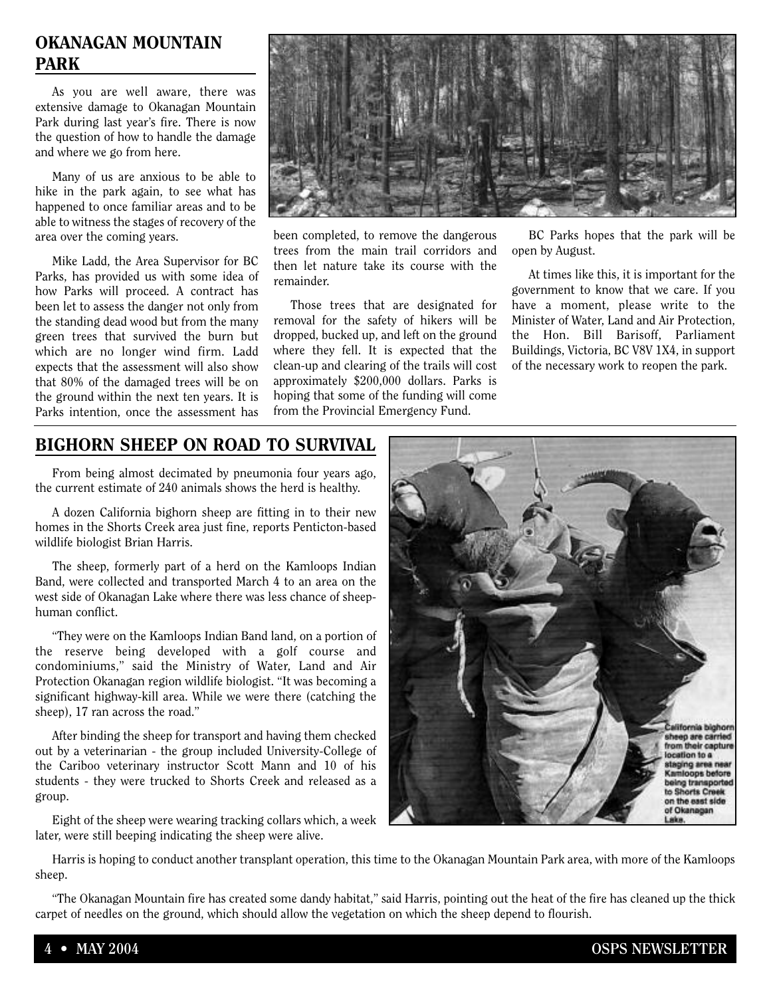### **OKANAGAN MOUNTAIN PARK**

As you are well aware, there was extensive damage to Okanagan Mountain Park during last year's fire. There is now the question of how to handle the damage and where we go from here.

Many of us are anxious to be able to hike in the park again, to see what has happened to once familiar areas and to be able to witness the stages of recovery of the area over the coming years.

Mike Ladd, the Area Supervisor for BC Parks, has provided us with some idea of how Parks will proceed. A contract has been let to assess the danger not only from the standing dead wood but from the many green trees that survived the burn but which are no longer wind firm. Ladd expects that the assessment will also show that 80% of the damaged trees will be on the ground within the next ten years. It is Parks intention, once the assessment has



been completed, to remove the dangerous trees from the main trail corridors and then let nature take its course with the remainder.

Those trees that are designated for removal for the safety of hikers will be dropped, bucked up, and left on the ground where they fell. It is expected that the clean-up and clearing of the trails will cost approximately \$200,000 dollars. Parks is hoping that some of the funding will come from the Provincial Emergency Fund.

BC Parks hopes that the park will be open by August.

At times like this, it is important for the government to know that we care. If you have a moment, please write to the Minister of Water, Land and Air Protection, the Hon. Bill Barisoff, Parliament Buildings, Victoria, BC V8V 1X4, in support of the necessary work to reopen the park.

# **BIGHORN SHEEP ON ROAD TO SURVIVAL**

From being almost decimated by pneumonia four years ago, the current estimate of 240 animals shows the herd is healthy.

A dozen California bighorn sheep are fitting in to their new homes in the Shorts Creek area just fine, reports Penticton-based wildlife biologist Brian Harris.

The sheep, formerly part of a herd on the Kamloops Indian Band, were collected and transported March 4 to an area on the west side of Okanagan Lake where there was less chance of sheephuman conflict.

"They were on the Kamloops Indian Band land, on a portion of the reserve being developed with a golf course and condominiums," said the Ministry of Water, Land and Air Protection Okanagan region wildlife biologist. "It was becoming a significant highway-kill area. While we were there (catching the sheep), 17 ran across the road."

After binding the sheep for transport and having them checked out by a veterinarian - the group included University-College of the Cariboo veterinary instructor Scott Mann and 10 of his students - they were trucked to Shorts Creek and released as a group.

Eight of the sheep were wearing tracking collars which, a week later, were still beeping indicating the sheep were alive.



Harris is hoping to conduct another transplant operation, this time to the Okanagan Mountain Park area, with more of the Kamloops sheep.

"The Okanagan Mountain fire has created some dandy habitat," said Harris, pointing out the heat of the fire has cleaned up the thick carpet of needles on the ground, which should allow the vegetation on which the sheep depend to flourish.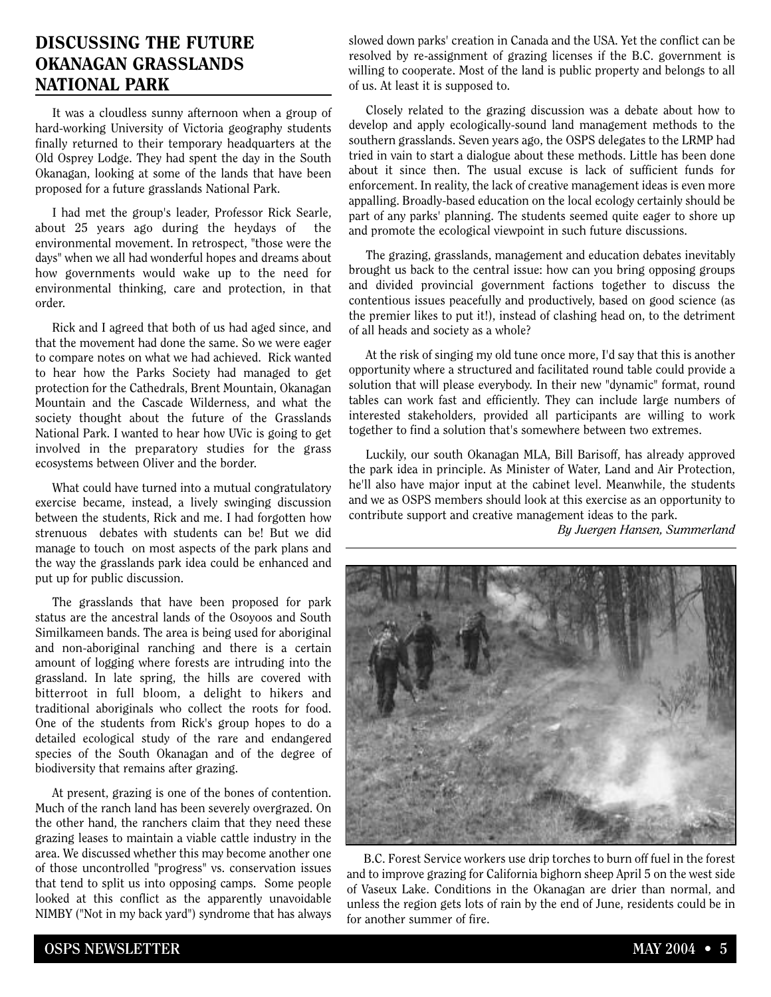### **DISCUSSING THE FUTURE OKANAGAN GRASSLANDS NATIONAL PARK**

It was a cloudless sunny afternoon when a group of hard-working University of Victoria geography students finally returned to their temporary headquarters at the Old Osprey Lodge. They had spent the day in the South Okanagan, looking at some of the lands that have been proposed for a future grasslands National Park.

I had met the group's leader, Professor Rick Searle, about 25 years ago during the heydays of the environmental movement. In retrospect, "those were the days" when we all had wonderful hopes and dreams about how governments would wake up to the need for environmental thinking, care and protection, in that order.

Rick and I agreed that both of us had aged since, and that the movement had done the same. So we were eager to compare notes on what we had achieved. Rick wanted to hear how the Parks Society had managed to get protection for the Cathedrals, Brent Mountain, Okanagan Mountain and the Cascade Wilderness, and what the society thought about the future of the Grasslands National Park. I wanted to hear how UVic is going to get involved in the preparatory studies for the grass ecosystems between Oliver and the border.

What could have turned into a mutual congratulatory exercise became, instead, a lively swinging discussion between the students, Rick and me. I had forgotten how strenuous debates with students can be! But we did manage to touch on most aspects of the park plans and the way the grasslands park idea could be enhanced and put up for public discussion.

The grasslands that have been proposed for park status are the ancestral lands of the Osoyoos and South Similkameen bands. The area is being used for aboriginal and non-aboriginal ranching and there is a certain amount of logging where forests are intruding into the grassland. In late spring, the hills are covered with bitterroot in full bloom, a delight to hikers and traditional aboriginals who collect the roots for food. One of the students from Rick's group hopes to do a detailed ecological study of the rare and endangered species of the South Okanagan and of the degree of biodiversity that remains after grazing.

At present, grazing is one of the bones of contention. Much of the ranch land has been severely overgrazed. On the other hand, the ranchers claim that they need these grazing leases to maintain a viable cattle industry in the area. We discussed whether this may become another one of those uncontrolled "progress" vs. conservation issues that tend to split us into opposing camps. Some people looked at this conflict as the apparently unavoidable NIMBY ("Not in my back yard") syndrome that has always

slowed down parks' creation in Canada and the USA. Yet the conflict can be resolved by re-assignment of grazing licenses if the B.C. government is willing to cooperate. Most of the land is public property and belongs to all of us. At least it is supposed to.

Closely related to the grazing discussion was a debate about how to develop and apply ecologically-sound land management methods to the southern grasslands. Seven years ago, the OSPS delegates to the LRMP had tried in vain to start a dialogue about these methods. Little has been done about it since then. The usual excuse is lack of sufficient funds for enforcement. In reality, the lack of creative management ideas is even more appalling. Broadly-based education on the local ecology certainly should be part of any parks' planning. The students seemed quite eager to shore up and promote the ecological viewpoint in such future discussions.

The grazing, grasslands, management and education debates inevitably brought us back to the central issue: how can you bring opposing groups and divided provincial government factions together to discuss the contentious issues peacefully and productively, based on good science (as the premier likes to put it!), instead of clashing head on, to the detriment of all heads and society as a whole?

At the risk of singing my old tune once more, I'd say that this is another opportunity where a structured and facilitated round table could provide a solution that will please everybody. In their new "dynamic" format, round tables can work fast and efficiently. They can include large numbers of interested stakeholders, provided all participants are willing to work together to find a solution that's somewhere between two extremes.

Luckily, our south Okanagan MLA, Bill Barisoff, has already approved the park idea in principle. As Minister of Water, Land and Air Protection, he'll also have major input at the cabinet level. Meanwhile, the students and we as OSPS members should look at this exercise as an opportunity to contribute support and creative management ideas to the park.

*By Juergen Hansen, Summerland* 



B.C. Forest Service workers use drip torches to burn off fuel in the forest and to improve grazing for California bighorn sheep April 5 on the west side of Vaseux Lake. Conditions in the Okanagan are drier than normal, and unless the region gets lots of rain by the end of June, residents could be in for another summer of fire.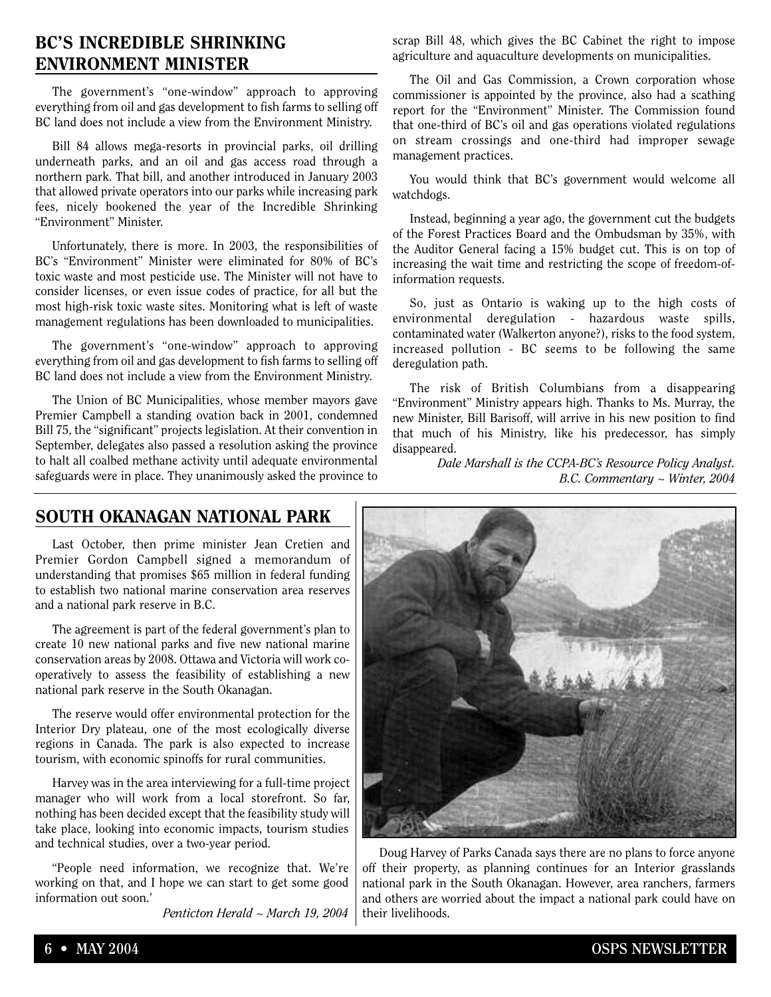### **BC'S INCREDIBLE SHRINKING ENVIRONMENT MINISTER**

The government's "one-window" approach to approving everything from oil and gas development to fish farms to selling off BC land does not include a view from the Environment Ministry.

Bill 84 allows mega-resorts in provincial parks, oil drilling underneath parks, and an oil and gas access road through a northern park. That bill, and another introduced in January 2003 that allowed private operators into our parks while increasing park fees, nicely bookened the year of the Incredible Shrinking "Environment" Minister.

Unfortunately, there is more. In 2003, the responsibilities of BC's "Environment" Minister were eliminated for 80% of BC's toxic waste and most pesticide use. The Minister will not have to consider licenses, or even issue codes of practice, for all but the most high-risk toxic waste sites. Monitoring what is left of waste management regulations has been downloaded to municipalities.

The government's "one-window" approach to approving everything from oil and gas development to fish farms to selling off BC land does not include a view from the Environment Ministry.

The Union of BC Municipalities, whose member mayors gave Premier Campbell a standing ovation back in 2001, condemned Bill 75, the "significant" projects legislation. At their convention in September, delegates also passed a resolution asking the province to halt all coalbed methane activity until adequate environmental safeguards were in place. They unanimously asked the province to

scrap Bill 48, which gives the BC Cabinet the right to impose agriculture and aquaculture developments on municipalities.

The Oil and Gas Commission, a Crown corporation whose commissioner is appointed by the province, also had a scathing report for the "Environment" Minister. The Commission found that one-third of BC's oil and gas operations violated regulations on stream crossings and one-third had improper sewage management practices.

You would think that BC's government would welcome all watchdogs.

Instead, beginning a year ago, the government cut the budgets of the Forest Practices Board and the Ombudsman by 35%, with the Auditor General facing a 15% budget cut. This is on top of increasing the wait time and restricting the scope of freedom-ofinformation requests.

So, just as Ontario is waking up to the high costs of environmental deregulation - hazardous waste spills, contaminated water (Walkerton anyone?), risks to the food system, increased pollution - BC seems to be following the same deregulation path.

The risk of British Columbians from a disappearing "Environment" Ministry appears high. Thanks to Ms. Murray, the new Minister, Bill Barisoff, will arrive in his new position to find that much of his Ministry, like his predecessor, has simply disappeared.

> *Dale Marshall is the CCPA-BC's Resource Policy Analyst. B.C. Commentary ~ Winter, 2004*

### **SOUTH OKANAGAN NATIONAL PARK**

Last October, then prime minister Jean Cretien and Premier Gordon Campbell signed a memorandum of understanding that promises \$65 million in federal funding to establish two national marine conservation area reserves and a national park reserve in B.C.

The agreement is part of the federal government's plan to create 10 new national parks and five new national marine conservation areas by 2008. Ottawa and Victoria will work cooperatively to assess the feasibility of establishing a new national park reserve in the South Okanagan.

The reserve would offer environmental protection for the Interior Dry plateau, one of the most ecologically diverse regions in Canada. The park is also expected to increase tourism, with economic spinoffs for rural communities.

Harvey was in the area interviewing for a full-time project manager who will work from a local storefront. So far, nothing has been decided except that the feasibility study will take place, looking into economic impacts, tourism studies and technical studies, over a two-year period.

"People need information, we recognize that. We're working on that, and I hope we can start to get some good information out soon.'

*Penticton Herald ~ March 19, 2004*



Doug Harvey of Parks Canada says there are no plans to force anyone off their property, as planning continues for an Interior grasslands national park in the South Okanagan. However, area ranchers, farmers and others are worried about the impact a national park could have on their livelihoods.

### **6 • MAY 2004 OSPS NEWSLETTER**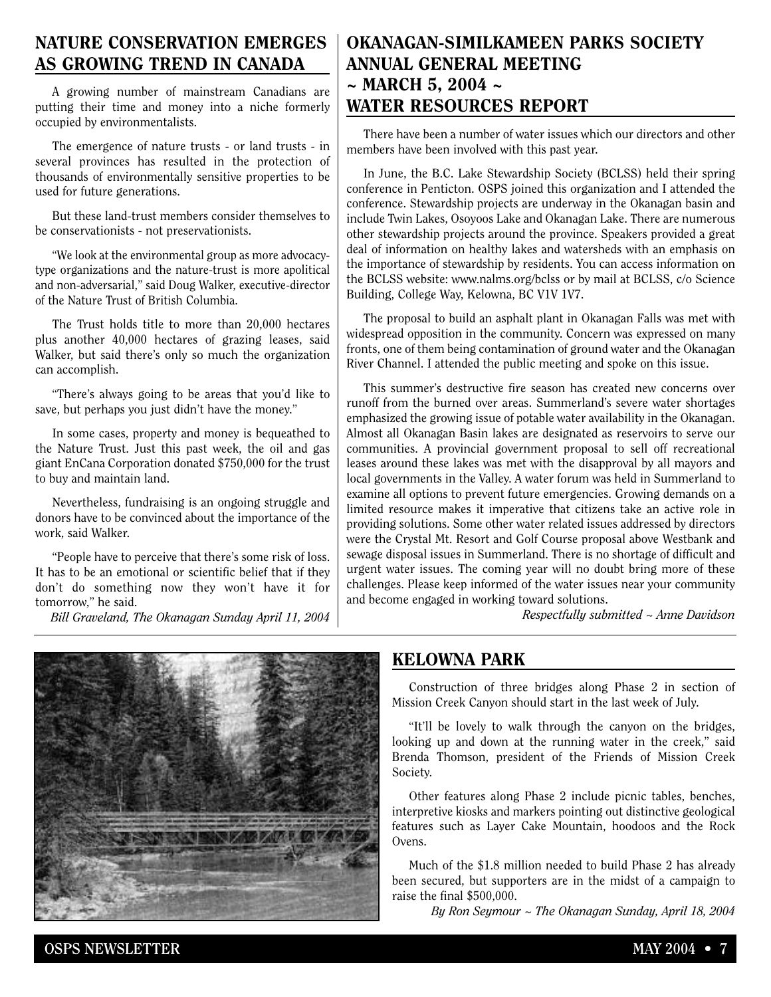### **NATURE CONSERVATION EMERGES AS GROWING TREND IN CANADA**

A growing number of mainstream Canadians are putting their time and money into a niche formerly occupied by environmentalists.

The emergence of nature trusts - or land trusts - in several provinces has resulted in the protection of thousands of environmentally sensitive properties to be used for future generations.

But these land-trust members consider themselves to be conservationists - not preservationists.

"We look at the environmental group as more advocacytype organizations and the nature-trust is more apolitical and non-adversarial," said Doug Walker, executive-director of the Nature Trust of British Columbia.

The Trust holds title to more than 20,000 hectares plus another 40,000 hectares of grazing leases, said Walker, but said there's only so much the organization can accomplish.

"There's always going to be areas that you'd like to save, but perhaps you just didn't have the money."

In some cases, property and money is bequeathed to the Nature Trust. Just this past week, the oil and gas giant EnCana Corporation donated \$750,000 for the trust to buy and maintain land.

Nevertheless, fundraising is an ongoing struggle and donors have to be convinced about the importance of the work, said Walker.

"People have to perceive that there's some risk of loss. It has to be an emotional or scientific belief that if they don't do something now they won't have it for tomorrow," he said.

*Bill Graveland, The Okanagan Sunday April 11, 2004*

## **OKANAGAN-SIMILKAMEEN PARKS SOCIETY ANNUAL GENERAL MEETING ~ MARCH 5, 2004 ~ WATER RESOURCES REPORT**

There have been a number of water issues which our directors and other members have been involved with this past year.

In June, the B.C. Lake Stewardship Society (BCLSS) held their spring conference in Penticton. OSPS joined this organization and I attended the conference. Stewardship projects are underway in the Okanagan basin and include Twin Lakes, Osoyoos Lake and Okanagan Lake. There are numerous other stewardship projects around the province. Speakers provided a great deal of information on healthy lakes and watersheds with an emphasis on the importance of stewardship by residents. You can access information on the BCLSS website: www.nalms.org/bclss or by mail at BCLSS, c/o Science Building, College Way, Kelowna, BC V1V 1V7.

The proposal to build an asphalt plant in Okanagan Falls was met with widespread opposition in the community. Concern was expressed on many fronts, one of them being contamination of ground water and the Okanagan River Channel. I attended the public meeting and spoke on this issue.

This summer's destructive fire season has created new concerns over runoff from the burned over areas. Summerland's severe water shortages emphasized the growing issue of potable water availability in the Okanagan. Almost all Okanagan Basin lakes are designated as reservoirs to serve our communities. A provincial government proposal to sell off recreational leases around these lakes was met with the disapproval by all mayors and local governments in the Valley. A water forum was held in Summerland to examine all options to prevent future emergencies. Growing demands on a limited resource makes it imperative that citizens take an active role in providing solutions. Some other water related issues addressed by directors were the Crystal Mt. Resort and Golf Course proposal above Westbank and sewage disposal issues in Summerland. There is no shortage of difficult and urgent water issues. The coming year will no doubt bring more of these challenges. Please keep informed of the water issues near your community and become engaged in working toward solutions.

*Respectfully submitted ~ Anne Davidson*



### **KELOWNA PARK**

Construction of three bridges along Phase 2 in section of Mission Creek Canyon should start in the last week of July.

"It'll be lovely to walk through the canyon on the bridges, looking up and down at the running water in the creek," said Brenda Thomson, president of the Friends of Mission Creek Society.

Other features along Phase 2 include picnic tables, benches, interpretive kiosks and markers pointing out distinctive geological features such as Layer Cake Mountain, hoodoos and the Rock Ovens.

Much of the \$1.8 million needed to build Phase 2 has already been secured, but supporters are in the midst of a campaign to raise the final \$500,000.

*By Ron Seymour ~ The Okanagan Sunday, April 18, 2004*

**OSPS NEWSLETTER MAY 2004 • 7**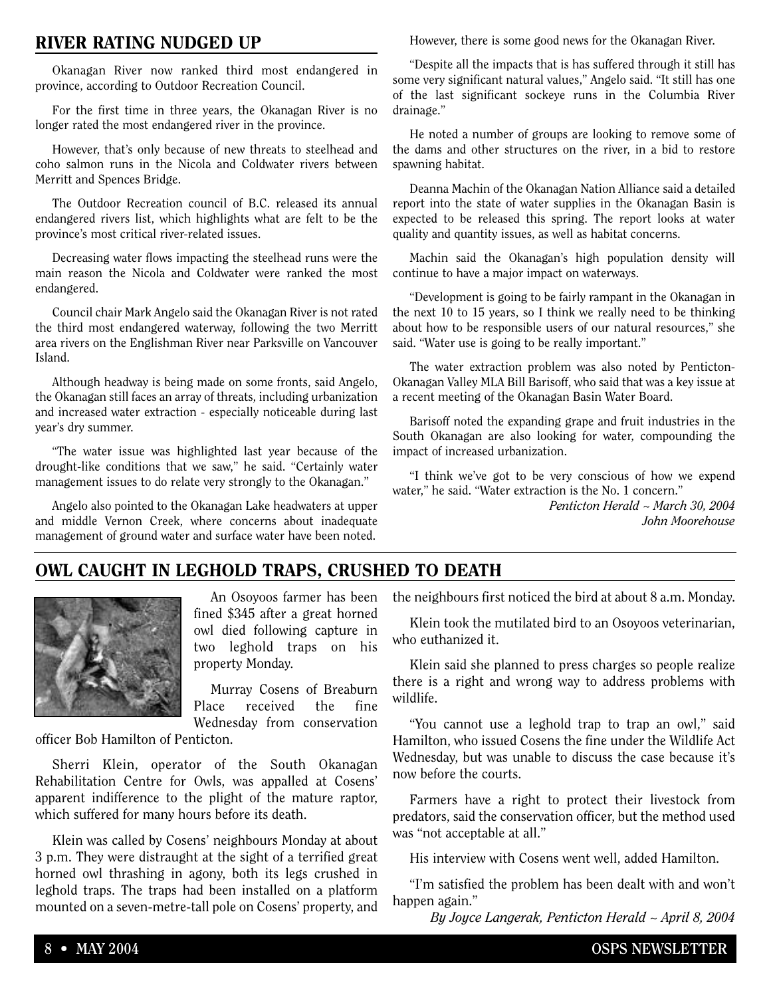### **RIVER RATING NUDGED UP**

Okanagan River now ranked third most endangered in province, according to Outdoor Recreation Council.

For the first time in three years, the Okanagan River is no longer rated the most endangered river in the province.

However, that's only because of new threats to steelhead and coho salmon runs in the Nicola and Coldwater rivers between Merritt and Spences Bridge.

The Outdoor Recreation council of B.C. released its annual endangered rivers list, which highlights what are felt to be the province's most critical river-related issues.

Decreasing water flows impacting the steelhead runs were the main reason the Nicola and Coldwater were ranked the most endangered.

Council chair Mark Angelo said the Okanagan River is not rated the third most endangered waterway, following the two Merritt area rivers on the Englishman River near Parksville on Vancouver Island.

Although headway is being made on some fronts, said Angelo, the Okanagan still faces an array of threats, including urbanization and increased water extraction - especially noticeable during last year's dry summer.

"The water issue was highlighted last year because of the drought-like conditions that we saw," he said. "Certainly water management issues to do relate very strongly to the Okanagan."

Angelo also pointed to the Okanagan Lake headwaters at upper and middle Vernon Creek, where concerns about inadequate management of ground water and surface water have been noted.

However, there is some good news for the Okanagan River.

"Despite all the impacts that is has suffered through it still has some very significant natural values," Angelo said. "It still has one of the last significant sockeye runs in the Columbia River drainage."

He noted a number of groups are looking to remove some of the dams and other structures on the river, in a bid to restore spawning habitat.

Deanna Machin of the Okanagan Nation Alliance said a detailed report into the state of water supplies in the Okanagan Basin is expected to be released this spring. The report looks at water quality and quantity issues, as well as habitat concerns.

Machin said the Okanagan's high population density will continue to have a major impact on waterways.

"Development is going to be fairly rampant in the Okanagan in the next 10 to 15 years, so I think we really need to be thinking about how to be responsible users of our natural resources," she said. "Water use is going to be really important."

The water extraction problem was also noted by Penticton-Okanagan Valley MLA Bill Barisoff, who said that was a key issue at a recent meeting of the Okanagan Basin Water Board.

Barisoff noted the expanding grape and fruit industries in the South Okanagan are also looking for water, compounding the impact of increased urbanization.

"I think we've got to be very conscious of how we expend water," he said. "Water extraction is the No. 1 concern."

> *Penticton Herald ~ March 30, 2004 John Moorehouse*

### **OWL CAUGHT IN LEGHOLD TRAPS, CRUSHED TO DEATH**



An Osoyoos farmer has been fined \$345 after a great horned owl died following capture in two leghold traps on his property Monday.

Murray Cosens of Breaburn Place received the fine Wednesday from conservation

officer Bob Hamilton of Penticton.

Sherri Klein, operator of the South Okanagan Rehabilitation Centre for Owls, was appalled at Cosens' apparent indifference to the plight of the mature raptor, which suffered for many hours before its death.

Klein was called by Cosens' neighbours Monday at about 3 p.m. They were distraught at the sight of a terrified great horned owl thrashing in agony, both its legs crushed in leghold traps. The traps had been installed on a platform mounted on a seven-metre-tall pole on Cosens' property, and

the neighbours first noticed the bird at about 8 a.m. Monday.

Klein took the mutilated bird to an Osoyoos veterinarian, who euthanized it.

Klein said she planned to press charges so people realize there is a right and wrong way to address problems with wildlife.

"You cannot use a leghold trap to trap an owl," said Hamilton, who issued Cosens the fine under the Wildlife Act Wednesday, but was unable to discuss the case because it's now before the courts.

Farmers have a right to protect their livestock from predators, said the conservation officer, but the method used was "not acceptable at all."

His interview with Cosens went well, added Hamilton.

"I'm satisfied the problem has been dealt with and won't happen again."

*By Joyce Langerak, Penticton Herald ~ April 8, 2004*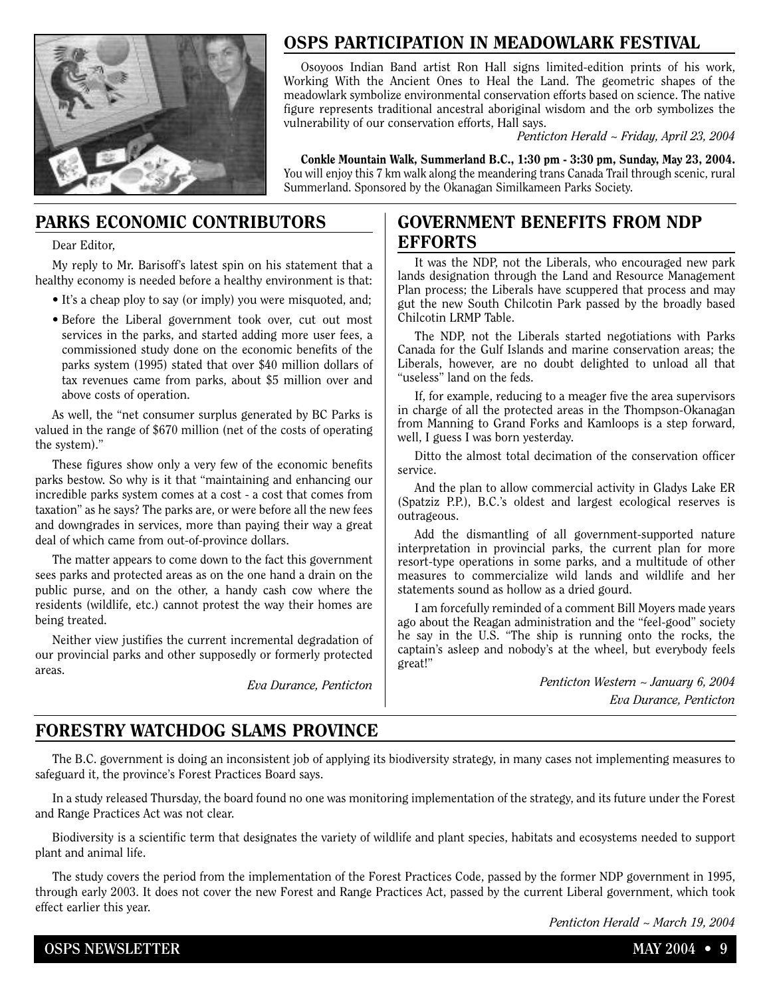

# **OSPS PARTICIPATION IN MEADOWLARK FESTIVAL**

Osoyoos Indian Band artist Ron Hall signs limited-edition prints of his work, Working With the Ancient Ones to Heal the Land. The geometric shapes of the meadowlark symbolize environmental conservation efforts based on science. The native figure represents traditional ancestral aboriginal wisdom and the orb symbolizes the vulnerability of our conservation efforts, Hall says.

*Penticton Herald ~ Friday, April 23, 2004*

**Conkle Mountain Walk, Summerland B.C., 1:30 pm - 3:30 pm, Sunday, May 23, 2004.** You will enjoy this 7 km walk along the meandering trans Canada Trail through scenic, rural Summerland. Sponsored by the Okanagan Similkameen Parks Society.

### **PARKS ECONOMIC CONTRIBUTORS**

Dear Editor,

My reply to Mr. Barisoff's latest spin on his statement that a healthy economy is needed before a healthy environment is that:

- It's a cheap ploy to say (or imply) you were misquoted, and;
- Before the Liberal government took over, cut out most services in the parks, and started adding more user fees, a commissioned study done on the economic benefits of the parks system (1995) stated that over \$40 million dollars of tax revenues came from parks, about \$5 million over and above costs of operation.

As well, the "net consumer surplus generated by BC Parks is valued in the range of \$670 million (net of the costs of operating the system)."

These figures show only a very few of the economic benefits parks bestow. So why is it that "maintaining and enhancing our incredible parks system comes at a cost - a cost that comes from taxation" as he says? The parks are, or were before all the new fees and downgrades in services, more than paying their way a great deal of which came from out-of-province dollars.

The matter appears to come down to the fact this government sees parks and protected areas as on the one hand a drain on the public purse, and on the other, a handy cash cow where the residents (wildlife, etc.) cannot protest the way their homes are being treated.

Neither view justifies the current incremental degradation of our provincial parks and other supposedly or formerly protected areas.

*Eva Durance, Penticton*

### **GOVERNMENT BENEFITS FROM NDP EFFORTS**

It was the NDP, not the Liberals, who encouraged new park lands designation through the Land and Resource Management Plan process; the Liberals have scuppered that process and may gut the new South Chilcotin Park passed by the broadly based Chilcotin LRMP Table.

The NDP, not the Liberals started negotiations with Parks Canada for the Gulf Islands and marine conservation areas; the Liberals, however, are no doubt delighted to unload all that "useless" land on the feds.

If, for example, reducing to a meager five the area supervisors in charge of all the protected areas in the Thompson-Okanagan from Manning to Grand Forks and Kamloops is a step forward, well, I guess I was born yesterday.

Ditto the almost total decimation of the conservation officer service.

And the plan to allow commercial activity in Gladys Lake ER (Spatziz P.P.), B.C.'s oldest and largest ecological reserves is outrageous.

Add the dismantling of all government-supported nature interpretation in provincial parks, the current plan for more resort-type operations in some parks, and a multitude of other measures to commercialize wild lands and wildlife and her statements sound as hollow as a dried gourd.

I am forcefully reminded of a comment Bill Moyers made years ago about the Reagan administration and the "feel-good" society he say in the U.S. "The ship is running onto the rocks, the captain's asleep and nobody's at the wheel, but everybody feels great!"

> *Penticton Western ~ January 6, 2004 Eva Durance, Penticton*

# **FORESTRY WATCHDOG SLAMS PROVINCE**

The B.C. government is doing an inconsistent job of applying its biodiversity strategy, in many cases not implementing measures to safeguard it, the province's Forest Practices Board says.

In a study released Thursday, the board found no one was monitoring implementation of the strategy, and its future under the Forest and Range Practices Act was not clear.

Biodiversity is a scientific term that designates the variety of wildlife and plant species, habitats and ecosystems needed to support plant and animal life.

The study covers the period from the implementation of the Forest Practices Code, passed by the former NDP government in 1995, through early 2003. It does not cover the new Forest and Range Practices Act, passed by the current Liberal government, which took effect earlier this year.

*Penticton Herald ~ March 19, 2004*